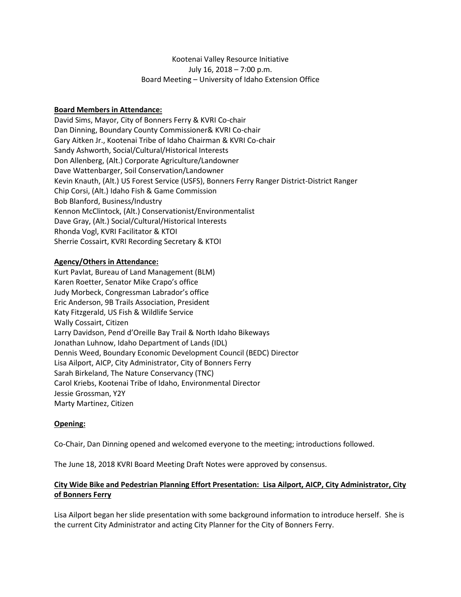## Kootenai Valley Resource Initiative July 16, 2018 – 7:00 p.m. Board Meeting – University of Idaho Extension Office

## **Board Members in Attendance:**

David Sims, Mayor, City of Bonners Ferry & KVRI Co-chair Dan Dinning, Boundary County Commissioner& KVRI Co-chair Gary Aitken Jr., Kootenai Tribe of Idaho Chairman & KVRI Co-chair Sandy Ashworth, Social/Cultural/Historical Interests Don Allenberg, (Alt.) Corporate Agriculture/Landowner Dave Wattenbarger, Soil Conservation/Landowner Kevin Knauth, (Alt.) US Forest Service (USFS), Bonners Ferry Ranger District-District Ranger Chip Corsi, (Alt.) Idaho Fish & Game Commission Bob Blanford, Business/Industry Kennon McClintock, (Alt.) Conservationist/Environmentalist Dave Gray, (Alt.) Social/Cultural/Historical Interests Rhonda Vogl, KVRI Facilitator & KTOI Sherrie Cossairt, KVRI Recording Secretary & KTOI

### **Agency/Others in Attendance:**

Kurt Pavlat, Bureau of Land Management (BLM) Karen Roetter, Senator Mike Crapo's office Judy Morbeck, Congressman Labrador's office Eric Anderson, 9B Trails Association, President Katy Fitzgerald, US Fish & Wildlife Service Wally Cossairt, Citizen Larry Davidson, Pend d'Oreille Bay Trail & North Idaho Bikeways Jonathan Luhnow, Idaho Department of Lands (IDL) Dennis Weed, Boundary Economic Development Council (BEDC) Director Lisa Ailport, AICP, City Administrator, City of Bonners Ferry Sarah Birkeland, The Nature Conservancy (TNC) Carol Kriebs, Kootenai Tribe of Idaho, Environmental Director Jessie Grossman, Y2Y Marty Martinez, Citizen

### **Opening:**

Co-Chair, Dan Dinning opened and welcomed everyone to the meeting; introductions followed.

The June 18, 2018 KVRI Board Meeting Draft Notes were approved by consensus.

## **City Wide Bike and Pedestrian Planning Effort Presentation: Lisa Ailport, AICP, City Administrator, City of Bonners Ferry**

Lisa Ailport began her slide presentation with some background information to introduce herself. She is the current City Administrator and acting City Planner for the City of Bonners Ferry.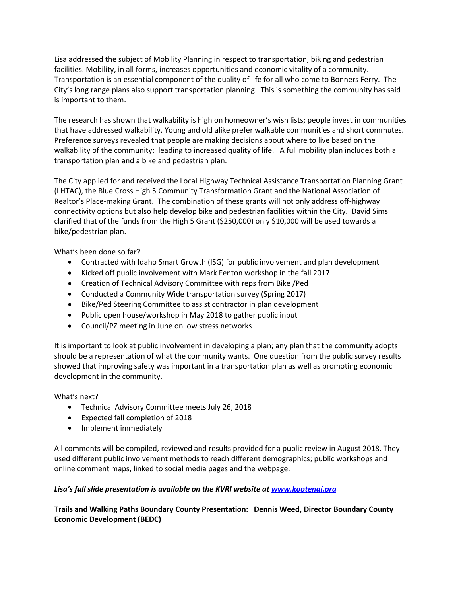Lisa addressed the subject of Mobility Planning in respect to transportation, biking and pedestrian facilities. Mobility, in all forms, increases opportunities and economic vitality of a community. Transportation is an essential component of the quality of life for all who come to Bonners Ferry. The City's long range plans also support transportation planning. This is something the community has said is important to them.

The research has shown that walkability is high on homeowner's wish lists; people invest in communities that have addressed walkability. Young and old alike prefer walkable communities and short commutes. Preference surveys revealed that people are making decisions about where to live based on the walkability of the community; leading to increased quality of life. A full mobility plan includes both a transportation plan and a bike and pedestrian plan.

The City applied for and received the Local Highway Technical Assistance Transportation Planning Grant (LHTAC), the Blue Cross High 5 Community Transformation Grant and the National Association of Realtor's Place-making Grant. The combination of these grants will not only address off-highway connectivity options but also help develop bike and pedestrian facilities within the City. David Sims clarified that of the funds from the High 5 Grant (\$250,000) only \$10,000 will be used towards a bike/pedestrian plan.

What's been done so far?

- Contracted with Idaho Smart Growth (ISG) for public involvement and plan development
- Kicked off public involvement with Mark Fenton workshop in the fall 2017
- Creation of Technical Advisory Committee with reps from Bike /Ped
- Conducted a Community Wide transportation survey (Spring 2017)
- Bike/Ped Steering Committee to assist contractor in plan development
- Public open house/workshop in May 2018 to gather public input
- Council/PZ meeting in June on low stress networks

It is important to look at public involvement in developing a plan; any plan that the community adopts should be a representation of what the community wants. One question from the public survey results showed that improving safety was important in a transportation plan as well as promoting economic development in the community.

What's next?

- Technical Advisory Committee meets July 26, 2018
- Expected fall completion of 2018
- Implement immediately

All comments will be compiled, reviewed and results provided for a public review in August 2018. They used different public involvement methods to reach different demographics; public workshops and online comment maps, linked to social media pages and the webpage.

## Lisa's full slide presentation is available on the KVRI website at **[www.kootenai.org](http://www.kootenai.org/)**

# **Trails and Walking Paths Boundary County Presentation: Dennis Weed, Director Boundary County Economic Development (BEDC)**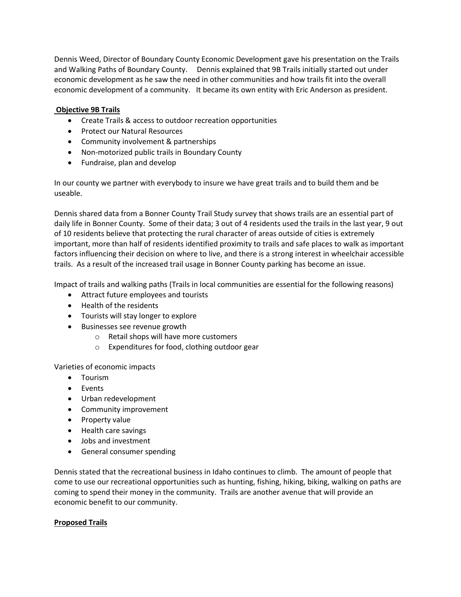Dennis Weed, Director of Boundary County Economic Development gave his presentation on the Trails and Walking Paths of Boundary County. Dennis explained that 9B Trails initially started out under economic development as he saw the need in other communities and how trails fit into the overall economic development of a community. It became its own entity with Eric Anderson as president.

## **Objective 9B Trails**

- Create Trails & access to outdoor recreation opportunities
- Protect our Natural Resources
- Community involvement & partnerships
- Non-motorized public trails in Boundary County
- Fundraise, plan and develop

In our county we partner with everybody to insure we have great trails and to build them and be useable.

Dennis shared data from a Bonner County Trail Study survey that shows trails are an essential part of daily life in Bonner County. Some of their data; 3 out of 4 residents used the trails in the last year, 9 out of 10 residents believe that protecting the rural character of areas outside of cities is extremely important, more than half of residents identified proximity to trails and safe places to walk as important factors influencing their decision on where to live, and there is a strong interest in wheelchair accessible trails. As a result of the increased trail usage in Bonner County parking has become an issue.

Impact of trails and walking paths (Trails in local communities are essential for the following reasons)

- Attract future employees and tourists
- Health of the residents
- Tourists will stay longer to explore
- Businesses see revenue growth
	- o Retail shops will have more customers
	- o Expenditures for food, clothing outdoor gear

Varieties of economic impacts

- Tourism
- Events
- Urban redevelopment
- Community improvement
- Property value
- Health care savings
- Jobs and investment
- **•** General consumer spending

Dennis stated that the recreational business in Idaho continues to climb. The amount of people that come to use our recreational opportunities such as hunting, fishing, hiking, biking, walking on paths are coming to spend their money in the community. Trails are another avenue that will provide an economic benefit to our community.

### **Proposed Trails**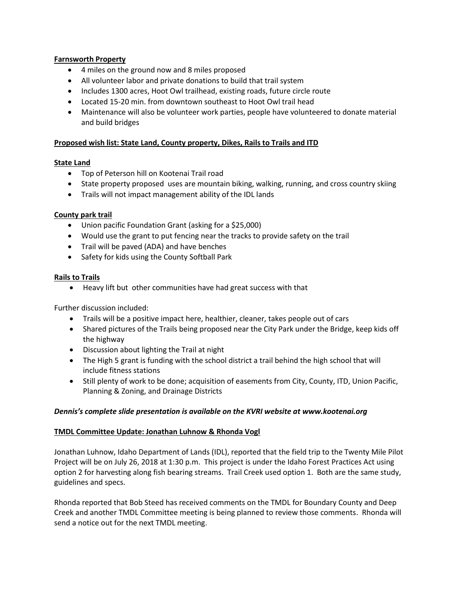### **Farnsworth Property**

- 4 miles on the ground now and 8 miles proposed
- All volunteer labor and private donations to build that trail system
- Includes 1300 acres, Hoot Owl trailhead, existing roads, future circle route
- Located 15-20 min. from downtown southeast to Hoot Owl trail head
- Maintenance will also be volunteer work parties, people have volunteered to donate material and build bridges

### **Proposed wish list: State Land, County property, Dikes, Rails to Trails and ITD**

### **State Land**

- Top of Peterson hill on Kootenai Trail road
- State property proposed uses are mountain biking, walking, running, and cross country skiing
- Trails will not impact management ability of the IDL lands

## **County park trail**

- Union pacific Foundation Grant (asking for a \$25,000)
- Would use the grant to put fencing near the tracks to provide safety on the trail
- Trail will be paved (ADA) and have benches
- Safety for kids using the County Softball Park

## **Rails to Trails**

Heavy lift but other communities have had great success with that

Further discussion included:

- Trails will be a positive impact here, healthier, cleaner, takes people out of cars
- Shared pictures of the Trails being proposed near the City Park under the Bridge, keep kids off the highway
- Discussion about lighting the Trail at night
- The High 5 grant is funding with the school district a trail behind the high school that will include fitness stations
- Still plenty of work to be done; acquisition of easements from City, County, ITD, Union Pacific, Planning & Zoning, and Drainage Districts

### *Dennis's complete slide presentation is available on the KVRI website at www.kootenai.org*

### **TMDL Committee Update: Jonathan Luhnow & Rhonda Vogl**

Jonathan Luhnow, Idaho Department of Lands (IDL), reported that the field trip to the Twenty Mile Pilot Project will be on July 26, 2018 at 1:30 p.m. This project is under the Idaho Forest Practices Act using option 2 for harvesting along fish bearing streams. Trail Creek used option 1. Both are the same study, guidelines and specs.

Rhonda reported that Bob Steed has received comments on the TMDL for Boundary County and Deep Creek and another TMDL Committee meeting is being planned to review those comments. Rhonda will send a notice out for the next TMDL meeting.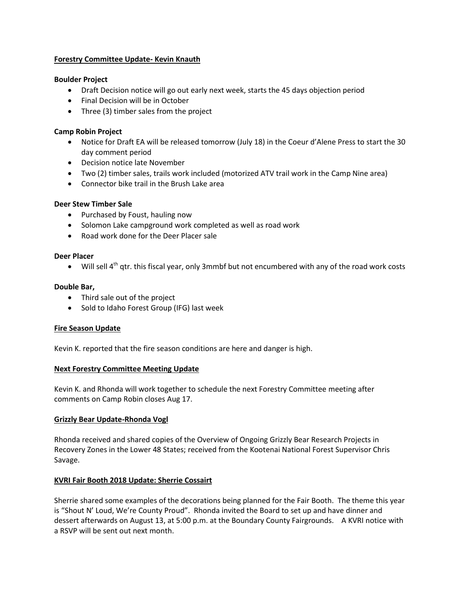### **Forestry Committee Update- Kevin Knauth**

#### **Boulder Project**

- Draft Decision notice will go out early next week, starts the 45 days objection period
- Final Decision will be in October
- Three (3) timber sales from the project

#### **Camp Robin Project**

- Notice for Draft EA will be released tomorrow (July 18) in the Coeur d'Alene Press to start the 30 day comment period
- Decision notice late November
- Two (2) timber sales, trails work included (motorized ATV trail work in the Camp Nine area)
- Connector bike trail in the Brush Lake area

#### **Deer Stew Timber Sale**

- Purchased by Foust, hauling now
- Solomon Lake campground work completed as well as road work
- Road work done for the Deer Placer sale

#### **Deer Placer**

 $\bullet$  Will sell 4<sup>th</sup> qtr. this fiscal year, only 3mmbf but not encumbered with any of the road work costs

#### **Double Bar,**

- Third sale out of the project
- Sold to Idaho Forest Group (IFG) last week

### **Fire Season Update**

Kevin K. reported that the fire season conditions are here and danger is high.

## **Next Forestry Committee Meeting Update**

Kevin K. and Rhonda will work together to schedule the next Forestry Committee meeting after comments on Camp Robin closes Aug 17.

### **Grizzly Bear Update-Rhonda Vogl**

Rhonda received and shared copies of the Overview of Ongoing Grizzly Bear Research Projects in Recovery Zones in the Lower 48 States; received from the Kootenai National Forest Supervisor Chris Savage.

### **KVRI Fair Booth 2018 Update: Sherrie Cossairt**

Sherrie shared some examples of the decorations being planned for the Fair Booth. The theme this year is "Shout N' Loud, We're County Proud". Rhonda invited the Board to set up and have dinner and dessert afterwards on August 13, at 5:00 p.m. at the Boundary County Fairgrounds. A KVRI notice with a RSVP will be sent out next month.